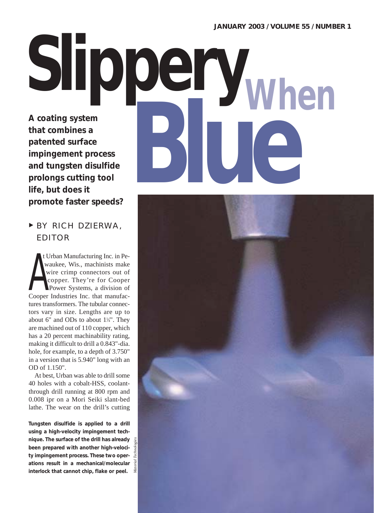# **A coating system that combines a patented surface impingement process and tungsten disulfide prolongs cutting tool life, but does it**  Slippery<sub>When</sub>

<sup>❿</sup> BY RICH DZIERWA, EDITOR

**promote faster speeds?**

t Urban Manufacturing Inc. in Pewaukee, Wis., machinists make wire crimp connectors out of copper. They're for Cooper Power Systems, a division of wire crimp connectors out of<br>copper. They're for Cooper<br>Power Systems, a division of<br>Cooper Industries Inc. that manufactures transformers. The tubular connectors vary in size. Lengths are up to about 6" and ODs to about  $1\frac{1}{4}$ ". They are machined out of 110 copper, which has a 20 percent machinability rating, making it difficult to drill a 0.843"-dia. hole, for example, to a depth of 3.750" in a version that is 5.940" long with an OD of 1.150".

At best, Urban was able to drill some 40 holes with a cobalt-HSS, coolantthrough drill running at 800 rpm and 0.008 ipr on a Mori Seiki slant-bed lathe. The wear on the drill's cutting

**Tungsten disulfide is applied to a drill using a high-velocity impingement technique. The surface of the drill has already been prepared with another high-velocity impingement process. These two operations result in a mechanical/molecular interlock that cannot chip, flake or peel.**

*Material Technologies*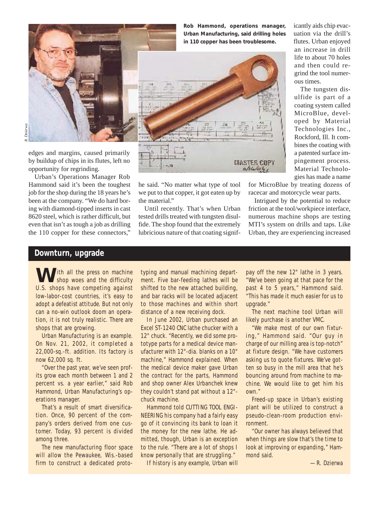

*R. Dzierwa*

edges and margins, caused primarily by buildup of chips in its flutes, left no opportunity for regrinding.

Urban's Operations Manager Rob Hammond said it's been the toughest job for the shop during the 18 years he's been at the company. "We do hard boring with diamond-tipped inserts in cast 8620 steel, which is rather difficult, but even that isn't as tough a job as drilling the 110 copper for these connectors,"



**Rob Hammond, operations manager, Urban Manufacturing, said drilling holes**



he said. "No matter what type of tool we put to that copper, it got eaten up by the material."

Until recently. That's when Urban tested drills treated with tungsten disulfide. The shop found that the extremely lubricious nature of that coating significantly aids chip evacuation via the drill's flutes. Urban enjoyed an increase in drill life to about 70 holes and then could regrind the tool numerous times.

The tungsten disulfide is part of a coating system called MicroBlue, developed by Material Technologies Inc., Rockford, Ill. It combines the coating with a patented surface impingement process. Material Technologies has made a name

for MicroBlue by treating dozens of racecar and motorcycle wear parts.

Intrigued by the potential to reduce friction at the tool/workpiece interface, numerous machine shops are testing MTI's system on drills and taps. Like Urban, they are experiencing increased

## **Downturn, upgrade**

I ith all the press on machine shop woes and the difficulty U.S. shops have competing against low-labor-cost countries, it's easy to adopt a defeatist attitude. But not only can a no-win outlook doom an operation, it is not truly realistic. There are shops that are growing.

Urban Manufacturing is an example. On Nov. 21, 2002, it completed a 22,000-sq.-ft. addition. Its factory is now 62,000 sq. ft.

"Over the past year, we've seen profits grow each month between 1 and 2 percent vs. a year earlier," said Rob Hammond, Urban Manufacturing's operations manager.

That's a result of smart diversification. Once, 90 percent of the company's orders derived from one customer. Today, 93 percent is divided among three.

The new manufacturing floor space will allow the Pewaukee, Wis.-based firm to construct a dedicated prototyping and manual machining department. Five bar-feeding lathes will be shifted to the new attached building, and bar racks will be located adjacent to those machines and within short distance of a new receiving dock.

In June 2002, Urban purchased an Excel ST-1240 CNC lathe chucker with a 12" chuck. "Recently, we did some prototype parts for a medical device manufacturer with 12"-dia. blanks on a 10" machine," Hammond explained. When the medical device maker gave Urban the contract for the parts, Hammond and shop owner Alex Urbanchek knew they couldn't stand pat without a 12" chuck machine.

Hammond told CUTTING TOOL ENGI-NEERING his company had a fairly easy go of it convincing its bank to loan it the money for the new lathe. He admitted, though, Urban is an exception to the rule. "There are a lot of shops I know personally that are struggling."

If history is any example, Urban will

pay off the new 12" lathe in 3 years. "We've been going at that pace for the past 4 to 5 years," Hammond said. "This has made it much easier for us to upgrade."

The next machine tool Urban will likely purchase is another VMC.

"We make most of our own fixturing," Hammond said. "Our guy in charge of our milling area is top-notch" at fixture design. "We have customers asking us to quote fixtures. We've gotten so busy in the mill area that he's bouncing around from machine to machine. We would like to get him his own."

Freed-up space in Urban's existing plant will be utilized to construct a pseudo-clean-room production environment.

"Our owner has always believed that when things are slow that's the time to look at improving or expanding," Hammond said.

—R. Dzierwa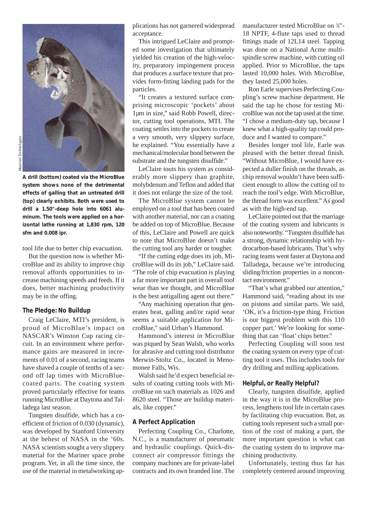

**A drill (bottom) coated via the MicroBlue system shows none of the detrimental effects of galling that an untreated drill (top) clearly exhibits. Both were used to drill a 1.50"-deep hole into 6061 aluminum. The tools were applied on a horizontal lathe running at 1,830 rpm, 120 sfm and 0.008 ipr.**

tool life due to better chip evacuation.

But the question now is whether MicroBlue and its ability to improve chip removal affords opportunities to increase machining speeds and feeds. If it does, better machining productivity may be in the offing.

## **The Pledge: No Buildup**

Craig LeClaire, MTI's president, is proud of MicroBlue's impact on NASCAR's Winston Cup racing circuit. In an environment where performance gains are measured in increments of 0.01 of a second, racing teams have shaved a couple of tenths of a second off lap times with MicroBluecoated parts. The coating system proved particularly effective for teams running MicroBlue at Daytona and Talladega last season.

Tungsten disulfide, which has a coefficient of friction of 0.030 (dynamic), was developed by Stanford University at the behest of NASA in the '60s. NASA scientists sought a very slippery material for the Mariner space probe program. Yet, in all the time since, the use of the material in metalworking applications has not garnered widespread acceptance.

This intrigued LeClaire and prompted some investigation that ultimately yielded his creation of the high-velocity, preparatory impingement process that produces a surface texture that provides form-fitting landing pads for the particles.

"It creates a textured surface comprising microscopic 'pockets' about 1µm in size," said Robb Powell, director, cutting tool operations, MTI. The coating settles into the pockets to create a very smooth, very slippery surface, he explained. "You essentially have a mechanical/molecular bond between the substrate and the tungsten disulfide."

LeClaire touts his system as considerably more slippery than graphite, molybdenum and Teflon and added that it does not enlarge the size of the tool.

The MicroBlue system cannot be employed on a tool that has been coated with another material, nor can a coating be added on top of MicroBlue. Because of this, LeClaire and Powell are quick to note that MicroBlue doesn't make the cutting tool any harder or tougher.

"If the cutting edge does its job, MicroBlue will do its job," LeClaire said. "The role of chip evacuation is playing a far more important part in overall tool wear than we thought, and MicroBlue is the best antigalling agent out there."

"Any machining operation that generates heat, galling and/or rapid wear seems a suitable application for MicroBlue," said Urban's Hammond.

Hammond's interest in MicroBlue was piqued by Sean Walsh, who works for abrasive and cutting tool distributor Merwin-Stoltz Co., located in Menomonee Falls, Wis.

Walsh said he'd expect beneficial results of coating cutting tools with MicroBlue on such materials as 1026 and 8620 steel. "Those are buildup materials, like copper."

## **A Perfect Application**

Perfecting Coupling Co., Charlotte, N.C., is a manufacturer of pneumatic and hydraulic couplings. Quick-disconnect air compressor fittings the company machines are for private-label contracts and its own branded line. The

manufacturer tested MicroBlue on <sup>3</sup>/<sub>8</sub>"-18 NPTF, 4-flute taps used to thread fittings made of 12L14 steel. Tapping was done on a National Acme multispindle screw machine, with cutting oil applied. Prior to MicroBlue, the taps lasted 10,000 holes. With MicroBlue, they lasted 25,000 holes.

Ron Earle supervises Perfecting Coupling's screw machine department. He said the tap he chose for testing MicroBlue was not the tap used at the time. "I chose a medium-duty tap, because I knew what a high-quality tap could produce and I wanted to compare."

Besides longer tool life, Earle was pleased with the better thread finish. "Without MicroBlue, I would have expected a duller finish on the threads, as chip removal wouldn't have been sufficient enough to allow the cutting oil to reach the tool's edge. With MicroBlue, the thread form was excellent." As good as with the high-end tap.

LeClaire pointed out that the marriage of the coating system and lubricants is also noteworthy. "Tungsten disulfide has a strong, dynamic relationship with hydrocarbon-based lubricants. That's why racing teams went faster at Daytona and Talladega, because we're introducing sliding/friction properties in a noncontact environment."

"That's what grabbed our attention," Hammond said, "reading about its use on pistons and similar parts. We said, 'OK, it's a friction-type thing. Friction is our biggest problem with this 110 copper part.' We're looking for something that can 'float' chips better."

Perfecting Coupling will soon test the coating system on every type of cutting tool it uses. This includes tools for dry drilling and milling applications.

#### **Helpful, or Really Helpful?**

Clearly, tungsten disulfide, applied in the way it is in the MicroBlue process, lengthens tool life in certain cases by facilitating chip evacuation. But, as cutting tools represent such a small portion of the cost of making a part, the more important question is what can the coating system do to improve machining productivity.

Unfortunately, testing thus far has completely centered around improving